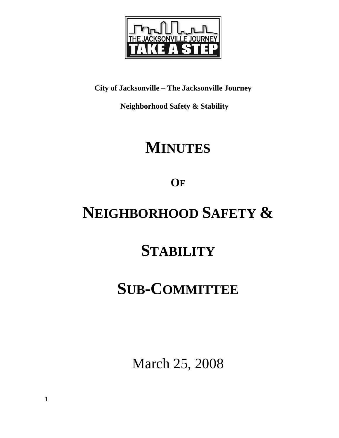

**City of Jacksonville – The Jacksonville Journey** 

 **Neighborhood Safety & Stability** 

# **MINUTES**

**OF**

# **NEIGHBORHOOD SAFETY &**

# **STABILITY**

## **SUB-COMMITTEE**

March 25, 2008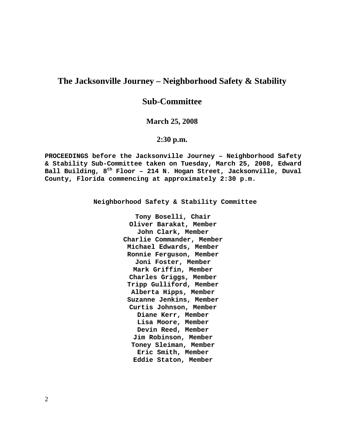## **The Jacksonville Journey – Neighborhood Safety & Stability**

## **Sub-Committee**

### **March 25, 2008**

### **2:30 p.m.**

**PROCEEDINGS before the Jacksonville Journey – Neighborhood Safety & Stability Sub-Committee taken on Tuesday, March 25, 2008, Edward Ball Building, 8th Floor – 214 N. Hogan Street, Jacksonville, Duval County, Florida commencing at approximately 2:30 p.m.** 

**Neighborhood Safety & Stability Committee** 

**Tony Boselli, Chair Oliver Barakat, Member John Clark, Member Charlie Commander, Member Michael Edwards, Member Ronnie Ferguson, Member Joni Foster, Member Mark Griffin, Member Charles Griggs, Member Tripp Gulliford, Member Alberta Hipps, Member Suzanne Jenkins, Member Curtis Johnson, Member Diane Kerr, Member Lisa Moore, Member Devin Reed, Member Jim Robinson, Member Toney Sleiman, Member Eric Smith, Member Eddie Staton, Member**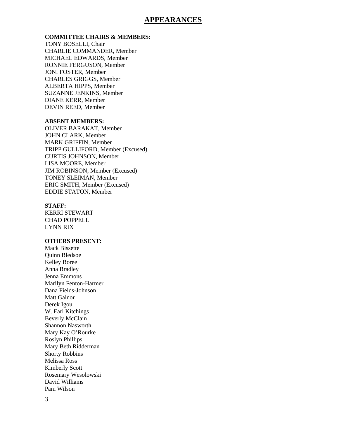### **APPEARANCES**

#### **COMMITTEE CHAIRS & MEMBERS:**

TONY BOSELLI, Chair CHARLIE COMMANDER, Member MICHAEL EDWARDS, Member RONNIE FERGUSON, Member JONI FOSTER, Member CHARLES GRIGGS, Member ALBERTA HIPPS, Member SUZANNE JENKINS, Member DIANE KERR, Member DEVIN REED, Member

#### **ABSENT MEMBERS:**

OLIVER BARAKAT, Member JOHN CLARK, Member MARK GRIFFIN, Member TRIPP GULLIFORD, Member (Excused) CURTIS JOHNSON, Member LISA MOORE, Member JIM ROBINSON, Member (Excused) TONEY SLEIMAN, Member ERIC SMITH, Member (Excused) EDDIE STATON, Member

#### **STAFF:**

KERRI STEWART CHAD POPPELL LYNN RIX

#### **OTHERS PRESENT:**

Mack Bissette Quinn Bledsoe Kelley Boree Anna Bradley Jenna Emmons Marilyn Fenton-Harmer Dana Fields-Johnson Matt Galnor Derek Igou W. Earl Kitchings Beverly McClain Shannon Nasworth Mary Kay O'Rourke Roslyn Phillips Mary Beth Ridderman Shorty Robbins Melissa Ross Kimberly Scott Rosemary Wesolowski David Williams Pam Wilson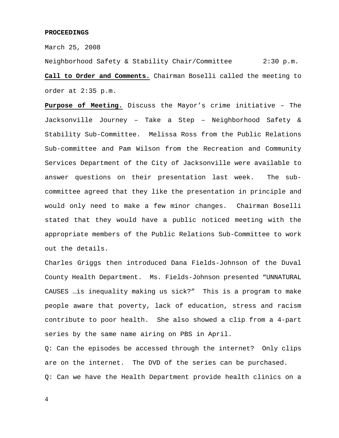March 25, 2008

Neighborhood Safety & Stability Chair/Committee 2:30 p.m. **Call to Order and Comments.** Chairman Boselli called the meeting to order at 2:35 p.m.

**Purpose of Meeting.** Discuss the Mayor's crime initiative – The Jacksonville Journey – Take a Step – Neighborhood Safety & Stability Sub-Committee. Melissa Ross from the Public Relations Sub-committee and Pam Wilson from the Recreation and Community Services Department of the City of Jacksonville were available to answer questions on their presentation last week. The subcommittee agreed that they like the presentation in principle and would only need to make a few minor changes. Chairman Boselli stated that they would have a public noticed meeting with the appropriate members of the Public Relations Sub-Committee to work out the details.

Charles Griggs then introduced Dana Fields-Johnson of the Duval County Health Department. Ms. Fields-Johnson presented "UNNATURAL CAUSES …is inequality making us sick?" This is a program to make people aware that poverty, lack of education, stress and racism contribute to poor health. She also showed a clip from a 4-part series by the same name airing on PBS in April.

Q: Can the episodes be accessed through the internet? Only clips are on the internet. The DVD of the series can be purchased. Q: Can we have the Health Department provide health clinics on a

4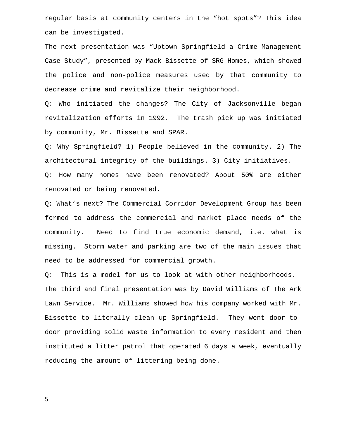regular basis at community centers in the "hot spots"? This idea can be investigated.

The next presentation was "Uptown Springfield a Crime-Management Case Study", presented by Mack Bissette of SRG Homes, which showed the police and non-police measures used by that community to decrease crime and revitalize their neighborhood.

Q: Who initiated the changes? The City of Jacksonville began revitalization efforts in 1992. The trash pick up was initiated by community, Mr. Bissette and SPAR.

Q: Why Springfield? 1) People believed in the community. 2) The architectural integrity of the buildings. 3) City initiatives. Q: How many homes have been renovated? About 50% are either renovated or being renovated.

Q: What's next? The Commercial Corridor Development Group has been formed to address the commercial and market place needs of the community. Need to find true economic demand, i.e. what is missing. Storm water and parking are two of the main issues that need to be addressed for commercial growth.

Q: This is a model for us to look at with other neighborhoods. The third and final presentation was by David Williams of The Ark Lawn Service. Mr. Williams showed how his company worked with Mr. Bissette to literally clean up Springfield. They went door-todoor providing solid waste information to every resident and then instituted a litter patrol that operated 6 days a week, eventually reducing the amount of littering being done.

5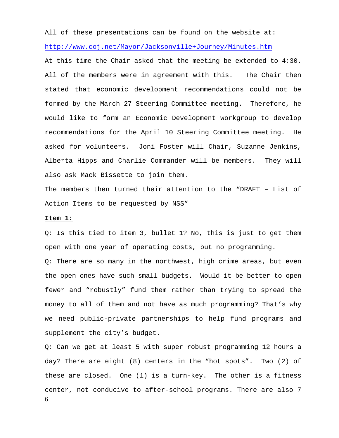All of these presentations can be found on the website at: http://www.coj.net/Mayor/Jacksonville+Journey/Minutes.htm

At this time the Chair asked that the meeting be extended to 4:30. All of the members were in agreement with this. The Chair then stated that economic development recommendations could not be formed by the March 27 Steering Committee meeting. Therefore, he would like to form an Economic Development workgroup to develop recommendations for the April 10 Steering Committee meeting. He asked for volunteers. Joni Foster will Chair, Suzanne Jenkins, Alberta Hipps and Charlie Commander will be members. They will also ask Mack Bissette to join them.

The members then turned their attention to the "DRAFT – List of Action Items to be requested by NSS"

#### **Item 1:**

Q: Is this tied to item 3, bullet 1? No, this is just to get them open with one year of operating costs, but no programming.

Q: There are so many in the northwest, high crime areas, but even the open ones have such small budgets. Would it be better to open fewer and "robustly" fund them rather than trying to spread the money to all of them and not have as much programming? That's why we need public-private partnerships to help fund programs and supplement the city's budget.

6 Q: Can we get at least 5 with super robust programming 12 hours a day? There are eight (8) centers in the "hot spots". Two (2) of these are closed. One (1) is a turn-key. The other is a fitness center, not conducive to after-school programs. There are also 7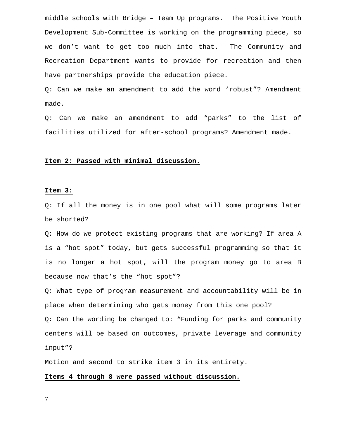middle schools with Bridge – Team Up programs. The Positive Youth Development Sub-Committee is working on the programming piece, so we don't want to get too much into that. The Community and Recreation Department wants to provide for recreation and then have partnerships provide the education piece.

Q: Can we make an amendment to add the word 'robust"? Amendment made.

Q: Can we make an amendment to add "parks" to the list of facilities utilized for after-school programs? Amendment made.

#### **Item 2: Passed with minimal discussion.**

#### **Item 3:**

Q: If all the money is in one pool what will some programs later be shorted?

Q: How do we protect existing programs that are working? If area A is a "hot spot" today, but gets successful programming so that it is no longer a hot spot, will the program money go to area B because now that's the "hot spot"?

Q: What type of program measurement and accountability will be in place when determining who gets money from this one pool? Q: Can the wording be changed to: "Funding for parks and community centers will be based on outcomes, private leverage and community input"?

Motion and second to strike item 3 in its entirety.

#### **Items 4 through 8 were passed without discussion.**

7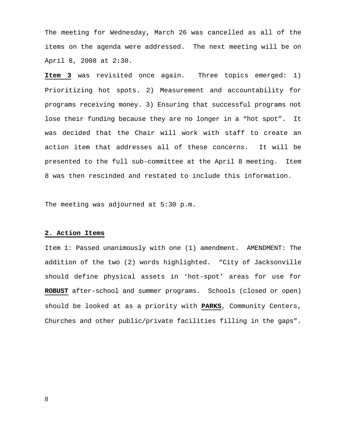The meeting for Wednesday, March 26 was cancelled as all of the items on the agenda were addressed. The next meeting will be on April 8, 2008 at 2:30.

**Item 3** was revisited once again. Three topics emerged: 1) Prioritizing hot spots. 2) Measurement and accountability for programs receiving money. 3) Ensuring that successful programs not lose their funding because they are no longer in a "hot spot". It was decided that the Chair will work with staff to create an action item that addresses all of these concerns. It will be presented to the full sub-committee at the April 8 meeting. Item 8 was then rescinded and restated to include this information.

The meeting was adjourned at 5:30 p.m.

#### **2. Action Items**

Item 1: Passed unanimously with one (1) amendment. AMENDMENT: The addition of the two (2) words highlighted. "City of Jacksonville should define physical assets in 'hot-spot' areas for use for **ROBUST** after-school and summer programs. Schools (closed or open) should be looked at as a priority with **PARKS**, Community Centers, Churches and other public/private facilities filling in the gaps".